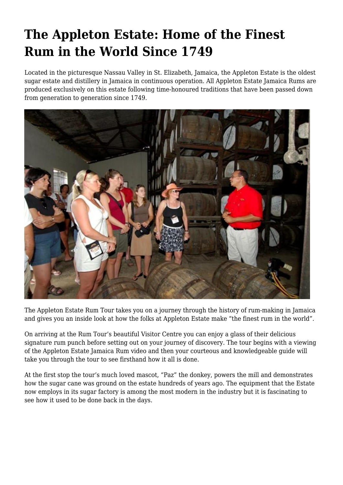## **The Appleton Estate: Home of the Finest Rum in the World Since 1749**

Located in the picturesque Nassau Valley in St. Elizabeth, Jamaica, the Appleton Estate is the oldest sugar estate and distillery in Jamaica in continuous operation. All Appleton Estate Jamaica Rums are produced exclusively on this estate following time-honoured traditions that have been passed down from generation to generation since 1749.



The Appleton Estate Rum Tour takes you on a journey through the history of rum-making in Jamaica and gives you an inside look at how the folks at Appleton Estate make "the finest rum in the world".

On arriving at the Rum Tour's beautiful Visitor Centre you can enjoy a glass of their delicious signature rum punch before setting out on your journey of discovery. The tour begins with a viewing of the Appleton Estate Jamaica Rum video and then your courteous and knowledgeable guide will take you through the tour to see firsthand how it all is done.

At the first stop the tour's much loved mascot, "Paz" the donkey, powers the mill and demonstrates how the sugar cane was ground on the estate hundreds of years ago. The equipment that the Estate now employs in its sugar factory is among the most modern in the industry but it is fascinating to see how it used to be done back in the days.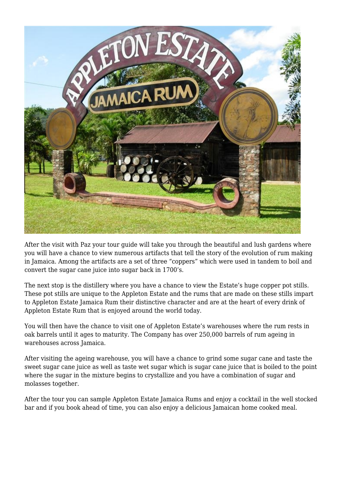

After the visit with Paz your tour guide will take you through the beautiful and lush gardens where you will have a chance to view numerous artifacts that tell the story of the evolution of rum making in Jamaica. Among the artifacts are a set of three "coppers" which were used in tandem to boil and convert the sugar cane juice into sugar back in 1700's.

The next stop is the distillery where you have a chance to view the Estate's huge copper pot stills. These pot stills are unique to the Appleton Estate and the rums that are made on these stills impart to Appleton Estate Jamaica Rum their distinctive character and are at the heart of every drink of Appleton Estate Rum that is enjoyed around the world today.

You will then have the chance to visit one of Appleton Estate's warehouses where the rum rests in oak barrels until it ages to maturity. The Company has over 250,000 barrels of rum ageing in warehouses across Jamaica.

After visiting the ageing warehouse, you will have a chance to grind some sugar cane and taste the sweet sugar cane juice as well as taste wet sugar which is sugar cane juice that is boiled to the point where the sugar in the mixture begins to crystallize and you have a combination of sugar and molasses together.

After the tour you can sample Appleton Estate Jamaica Rums and enjoy a cocktail in the well stocked bar and if you book ahead of time, you can also enjoy a delicious Jamaican home cooked meal.